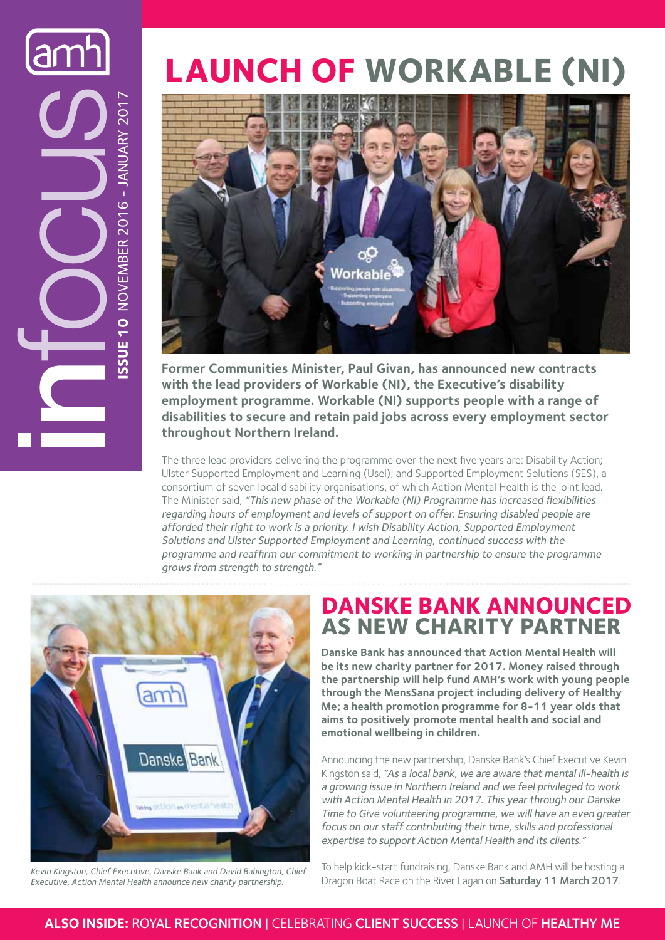# **Issue 10** NOVEMBER 2016 - JANUARY 2017 SSUE 10 NOVEMBER 2016 - JANUARY 2017

# **Launch of Workable (NI)**



**Former Communities Minister, Paul Givan, has announced new contracts with the lead providers of Workable (NI), the Executive's disability employment programme. Workable (NI) supports people with a range of disabilities to secure and retain paid jobs across every employment sector throughout Northern Ireland.** 

The three lead providers delivering the programme over the next five years are: Disability Action; Ulster Supported Employment and Learning (Usel); and Supported Employment Solutions (SES), a consortium of seven local disability organisations, of which Action Mental Health is the joint lead. The Minister said, "This new phase of the Workable (NI) Programme has increased flexibilities regarding hours of employment and levels of support on offer. Ensuring disabled people are afforded their right to work is a priority. I wish Disability Action, Supported Employment Solutions and Ulster Supported Employment and Learning, continued success with the programme and reaffirm our commitment to working in partnership to ensure the programme grows from strength to strength."



Kevin Kingston, Chief Executive, Danske Bank and David Babington, Chief Executive, Action Mental Health announce new charity partnership.

#### **Danske Bank announced as new charity partner**

**Danske Bank has announced that Action Mental Health will be its new charity partner for 2017. Money raised through the partnership will help fund AMH's work with young people through the MensSana project including delivery of Healthy Me; a health promotion programme for 8-11 year olds that aims to positively promote mental health and social and emotional wellbeing in children.**

Announcing the new partnership, Danske Bank's Chief Executive Kevin Kingston said, "As a local bank, we are aware that mental ill-health is a growing issue in Northern Ireland and we feel privileged to work with Action Mental Health in 2017. This year through our Danske Time to Give volunteering programme, we will have an even greater focus on our staff contributing their time, skills and professional expertise to support Action Mental Health and its clients."

To help kick-start fundraising, Danske Bank and AMH will be hosting a Dragon Boat Race on the River Lagan on Saturday 11 March 2017.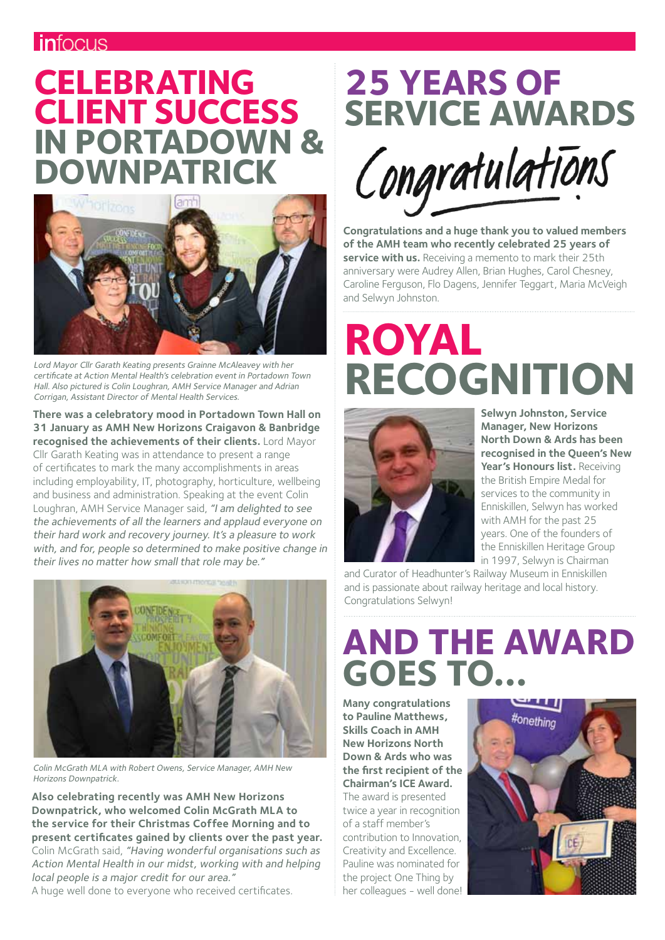#### *infocus*

## **Celebrating client success in Portadown & Downpatrick**



Lord Mayor Cllr Garath Keating presents Grainne McAleavey with her certificate at Action Mental Health's celebration event in Portadown Town Hall. Also pictured is Colin Loughran, AMH Service Manager and Adrian Corrigan, Assistant Director of Mental Health Services.

**There was a celebratory mood in Portadown Town Hall on 31 January as AMH New Horizons Craigavon & Banbridge recognised the achievements of their clients.** Lord Mayor Cllr Garath Keating was in attendance to present a range of certificates to mark the many accomplishments in areas including employability, IT, photography, horticulture, wellbeing and business and administration. Speaking at the event Colin Loughran, AMH Service Manager said, "I am delighted to see the achievements of all the learners and applaud everyone on their hard work and recovery journey. It's a pleasure to work with, and for, people so determined to make positive change in their lives no matter how small that role may be."



Colin McGrath MLA with Robert Owens, Service Manager, AMH New Horizons Downpatrick.

**Also celebrating recently was AMH New Horizons Downpatrick, who welcomed Colin McGrath MLA to the service for their Christmas Coffee Morning and to present certificates gained by clients over the past year.** Colin McGrath said, "Having wonderful organisations such as Action Mental Health in our midst, working with and helping local people is a major credit for our area."

A huge well done to everyone who received certificates.

# **25 years of service awards**



**Congratulations and a huge thank you to valued members of the AMH team who recently celebrated 25 years of service with us.** Receiving a memento to mark their 25th anniversary were Audrey Allen, Brian Hughes, Carol Chesney, Caroline Ferguson, Flo Dagens, Jennifer Teggart, Maria McVeigh and Selwyn Johnston.

# **Royal recognition**



**Selwyn Johnston, Service Manager, New Horizons North Down & Ards has been recognised in the Queen's New**  Year's Honours list. Receiving the British Empire Medal for services to the community in Enniskillen, Selwyn has worked with AMH for the past 25 years. One of the founders of the Enniskillen Heritage Group in 1997, Selwyn is Chairman

and Curator of Headhunter's Railway Museum in Enniskillen and is passionate about railway heritage and local history. Congratulations Selwyn!

# **And the award goes to...**

**Many congratulations to Pauline Matthews, Skills Coach in AMH New Horizons North Down & Ards who was the first recipient of the Chairman's ICE Award.**  The award is presented twice a year in recognition of a staff member's contribution to Innovation, Creativity and Excellence. Pauline was nominated for the project One Thing by her colleagues - well done!

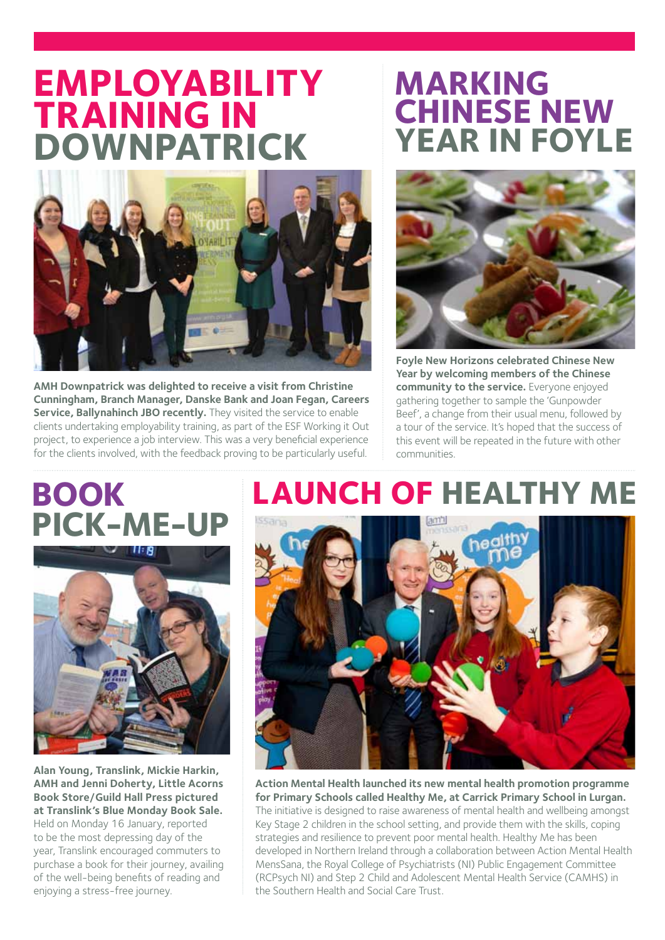## **Employability training in Downpatrick**



**AMH Downpatrick was delighted to receive a visit from Christine Cunningham, Branch Manager, Danske Bank and Joan Fegan, Careers Service, Ballynahinch JBO recently.** They visited the service to enable clients undertaking employability training, as part of the ESF Working it Out project, to experience a job interview. This was a very beneficial experience for the clients involved, with the feedback proving to be particularly useful.

### **Marking Chinese New Year in Foyle**



**Foyle New Horizons celebrated Chinese New Year by welcoming members of the Chinese community to the service.** Everyone enjoyed gathering together to sample the 'Gunpowder Beef', a change from their usual menu, followed by a tour of the service. It's hoped that the success of this event will be repeated in the future with other communities.

# **Book pick-me-up**



**Alan Young, Translink, Mickie Harkin, AMH and Jenni Doherty, Little Acorns Book Store/Guild Hall Press pictured at Translink's Blue Monday Book Sale.**  Held on Monday 16 January, reported to be the most depressing day of the year, Translink encouraged commuters to purchase a book for their journey, availing of the well-being benefits of reading and enjoying a stress-free journey.

## **Launch of Healthy Me**



**Action Mental Health launched its new mental health promotion programme for Primary Schools called Healthy Me, at Carrick Primary School in Lurgan.**  The initiative is designed to raise awareness of mental health and wellbeing amongst Key Stage 2 children in the school setting, and provide them with the skills, coping strategies and resilience to prevent poor mental health. Healthy Me has been developed in Northern Ireland through a collaboration between Action Mental Health MensSana, the Royal College of Psychiatrists (NI) Public Engagement Committee (RCPsych NI) and Step 2 Child and Adolescent Mental Health Service (CAMHS) in the Southern Health and Social Care Trust.